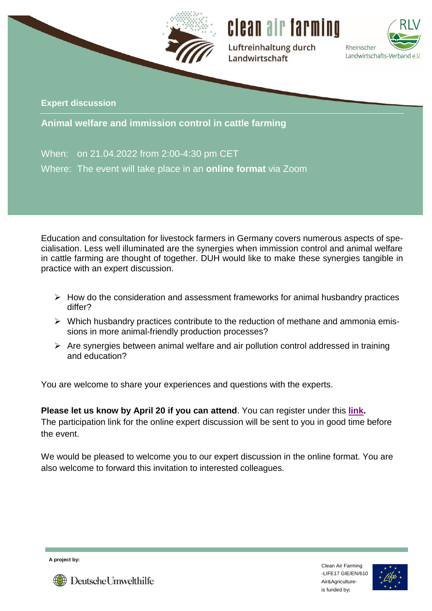



Luftreinhaltung durch Landwirtschaft



**Expert discussion**

**Animal welfare and immission control in cattle farming**

When: on 21.04.2022 from 2:00-4:30 pm CET Where: The event will take place in an **online format** via Zoom

Education and consultation for livestock farmers in Germany covers numerous aspects of specialisation. Less well illuminated are the synergies when immission control and animal welfare in cattle farming are thought of together. DUH would like to make these synergies tangible in practice with an expert discussion.

- $\triangleright$  How do the consideration and assessment frameworks for animal husbandry practices differ?
- $\triangleright$  Which husbandry practices contribute to the reduction of methane and ammonia emissions in more animal-friendly production processes?
- $\triangleright$  Are synergies between animal welfare and air pollution control addressed in training and education?

You are welcome to share your experiences and questions with the experts.

**Please let us know by April 20 if you can attend**. You can register under this **[link.](https://www.duh.de/projekte/fachgespraech-tierschutz-und-immissionsschutz/)** The participation link for the online expert discussion will be sent to you in good time before the event.

We would be pleased to welcome you to our expert discussion in the online format. You are also welcome to forward this invitation to interested colleagues.

**A project by:**





**Deutsche Umwelthilfe**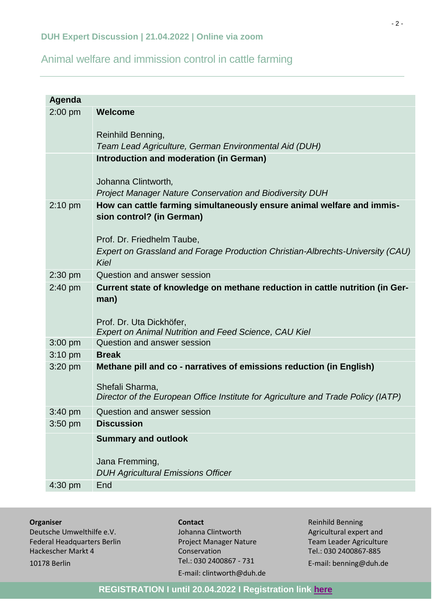# Animal welfare and immission control in cattle farming

| Agenda    |                                                                                                      |
|-----------|------------------------------------------------------------------------------------------------------|
| $2:00$ pm | <b>Welcome</b>                                                                                       |
|           |                                                                                                      |
|           | Reinhild Benning,                                                                                    |
|           | Team Lead Agriculture, German Environmental Aid (DUH)                                                |
|           | Introduction and moderation (in German)                                                              |
|           | Johanna Clintworth,                                                                                  |
|           | <b>Project Manager Nature Conservation and Biodiversity DUH</b>                                      |
| $2:10$ pm | How can cattle farming simultaneously ensure animal welfare and immis-                               |
|           | sion control? (in German)                                                                            |
|           |                                                                                                      |
|           | Prof. Dr. Friedhelm Taube,                                                                           |
|           | Expert on Grassland and Forage Production Christian-Albrechts-University (CAU)                       |
|           | Kiel                                                                                                 |
| $2:30$ pm | Question and answer session                                                                          |
| 2:40 pm   | Current state of knowledge on methane reduction in cattle nutrition (in Ger-                         |
|           | man)                                                                                                 |
|           |                                                                                                      |
|           | Prof. Dr. Uta Dickhöfer,<br>Expert on Animal Nutrition and Feed Science, CAU Kiel                    |
| $3:00$ pm | Question and answer session                                                                          |
| $3:10$ pm | <b>Break</b>                                                                                         |
| 3:20 pm   | Methane pill and co - narratives of emissions reduction (in English)                                 |
|           |                                                                                                      |
|           | Shefali Sharma,<br>Director of the European Office Institute for Agriculture and Trade Policy (IATP) |
|           |                                                                                                      |
| 3:40 pm   | Question and answer session                                                                          |
| $3:50$ pm | <b>Discussion</b>                                                                                    |
|           | <b>Summary and outlook</b>                                                                           |
|           |                                                                                                      |
|           | Jana Fremming,                                                                                       |
|           | <b>DUH Agricultural Emissions Officer</b>                                                            |
| 4:30 pm   | End                                                                                                  |

| <b>Organiser</b> |  |
|------------------|--|
|                  |  |

Deutsche Umwelthilfe e.V. Federal Headquarters Berlin Hackescher Markt 4 10178 Berlin

**Contact** Johanna Clintworth Project Manager Nature Conservation Tel.: 030 2400867 - 731 E-mail: clintworth@duh.de

Reinhild Benning Agricultural expert and Team Leader Agriculture Tel.: 030 2400867-885 E-mail: benning@duh.de